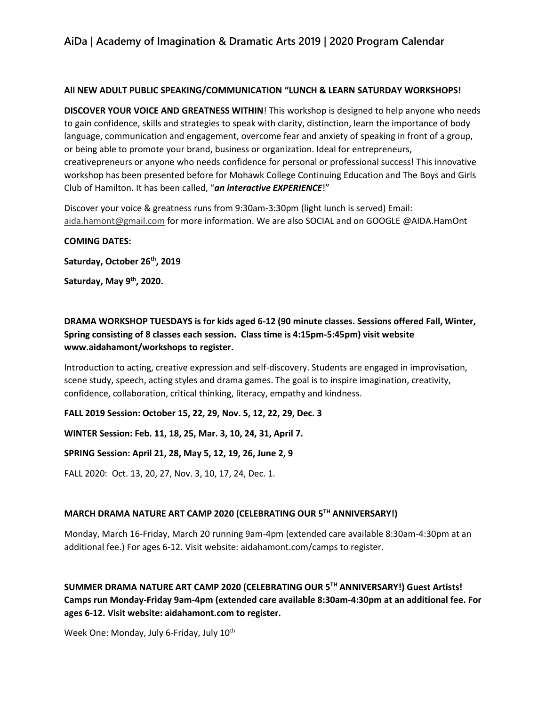## **AiDa | Academy of Imagination & Dramatic Arts 2019 | 2020 Program Calendar**

#### **All NEW ADULT PUBLIC SPEAKING/COMMUNICATION "LUNCH & LEARN SATURDAY WORKSHOPS!**

**DISCOVER YOUR VOICE AND GREATNESS WITHIN**! This workshop is designed to help anyone who needs to gain confidence, skills and strategies to speak with clarity, distinction, learn the importance of body language, communication and engagement, overcome fear and anxiety of speaking in front of a group, or being able to promote your brand, business or organization. Ideal for entrepreneurs, creativepreneurs or anyone who needs confidence for personal or professional success! This innovative workshop has been presented before for Mohawk College Continuing Education and The Boys and Girls Club of Hamilton. It has been called, "*an interactive EXPERIENCE*!"

Discover your voice & greatness runs from 9:30am-3:30pm (light lunch is served) Email: [aida.hamont@gmail.com](mailto:aida.hamont@gmail.com) for more information. We are also SOCIAL and on GOOGLE @AIDA.HamOnt

#### **COMING DATES:**

**Saturday, October 26th, 2019**

**Saturday, May 9th, 2020.** 

**DRAMA WORKSHOP TUESDAYS is for kids aged 6-12 (90 minute classes. Sessions offered Fall, Winter, Spring consisting of 8 classes each session. Class time is 4:15pm-5:45pm) visit website www.aidahamont/workshops to register.**

Introduction to acting, creative expression and self-discovery. Students are engaged in improvisation, scene study, speech, acting styles and drama games. The goal is to inspire imagination, creativity, confidence, collaboration, critical thinking, literacy, empathy and kindness.

**FALL 2019 Session: October 15, 22, 29, Nov. 5, 12, 22, 29, Dec. 3**

**WINTER Session: Feb. 11, 18, 25, Mar. 3, 10, 24, 31, April 7.**

**SPRING Session: April 21, 28, May 5, 12, 19, 26, June 2, 9**

FALL 2020: Oct. 13, 20, 27, Nov. 3, 10, 17, 24, Dec. 1.

#### **MARCH DRAMA NATURE ART CAMP 2020 (CELEBRATING OUR 5TH ANNIVERSARY!)**

Monday, March 16-Friday, March 20 running 9am-4pm (extended care available 8:30am-4:30pm at an additional fee.) For ages 6-12. Visit website: aidahamont.com/camps to register.

**SUMMER DRAMA NATURE ART CAMP 2020 (CELEBRATING OUR 5TH ANNIVERSARY!) Guest Artists! Camps run Monday-Friday 9am-4pm (extended care available 8:30am-4:30pm at an additional fee. For ages 6-12. Visit website: aidahamont.com to register.** 

Week One: Monday, July 6-Friday, July 10<sup>th</sup>